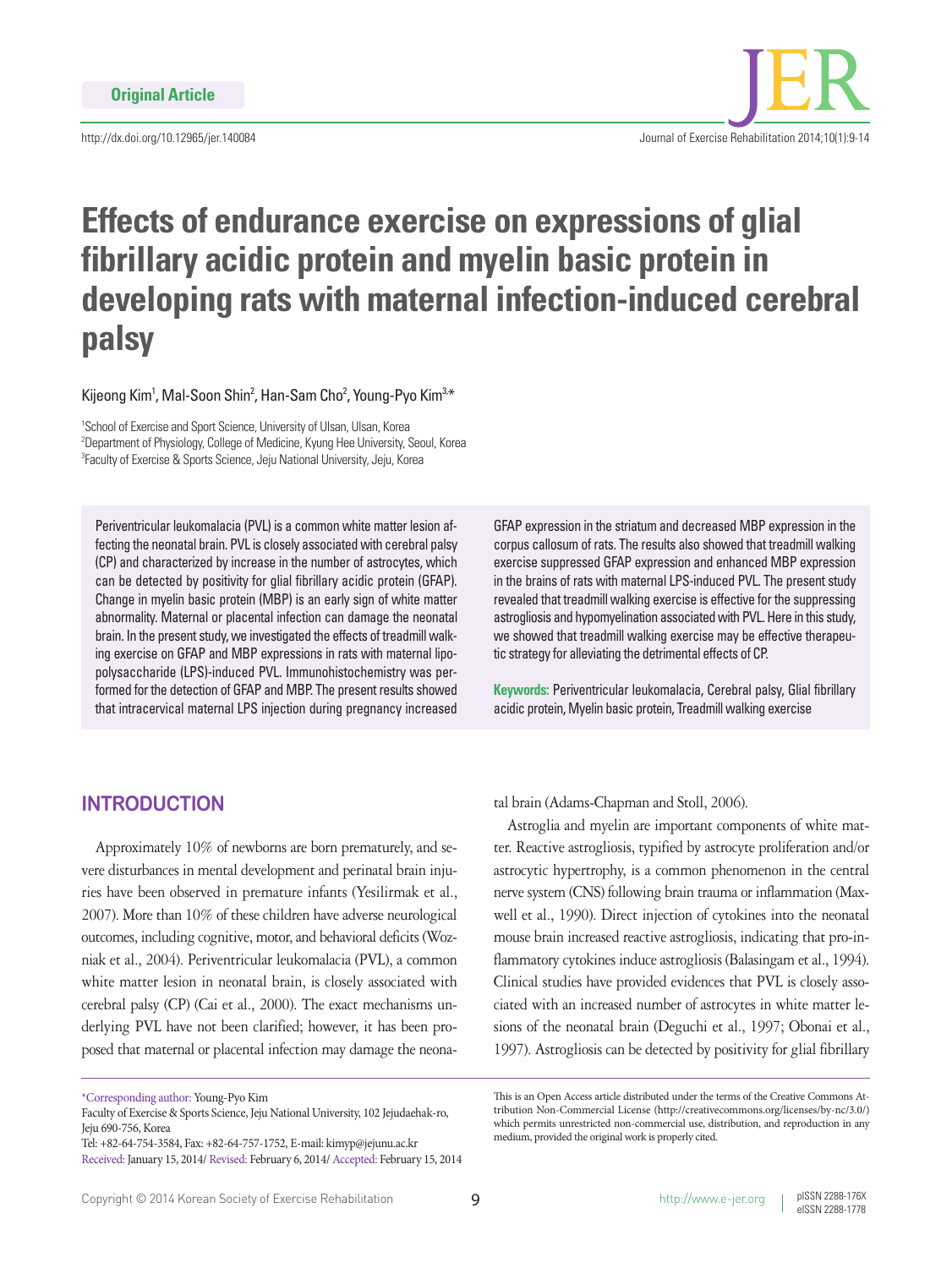http://dx.doi.org/10.12965/jer.140084



# **Effects of endurance exercise on expressions of glial fibrillary acidic protein and myelin basic protein in developing rats with maternal infection-induced cerebral palsy**

Kijeong Kim<sup>1</sup>, Mal-Soon Shin<sup>2</sup>, Han-Sam Cho<sup>2</sup>, Young-Pyo Kim<sup>3,\*</sup>

<sup>1</sup>School of Exercise and Sport Science, University of Ulsan, Ulsan, Korea 2 Department of Physiology, College of Medicine, Kyung Hee University, Seoul, Korea 3 Faculty of Exercise & Sports Science, Jeju National University, Jeju, Korea

Periventricular leukomalacia (PVL) is a common white matter lesion affecting the neonatal brain. PVL is closely associated with cerebral palsy (CP) and characterized by increase in the number of astrocytes, which can be detected by positivity for glial fibrillary acidic protein (GFAP). Change in myelin basic protein (MBP) is an early sign of white matter abnormality. Maternal or placental infection can damage the neonatal brain. In the present study, we investigated the effects of treadmill walking exercise on GFAP and MBP expressions in rats with maternal lipopolysaccharide (LPS)-induced PVL. Immunohistochemistry was performed for the detection of GFAP and MBP. The present results showed that intracervical maternal LPS injection during pregnancy increased

GFAP expression in the striatum and decreased MBP expression in the corpus callosum of rats. The results also showed that treadmill walking exercise suppressed GFAP expression and enhanced MBP expression in the brains of rats with maternal LPS-induced PVL. The present study revealed that treadmill walking exercise is effective for the suppressing astrogliosis and hypomyelination associated with PVL. Here in this study, we showed that treadmill walking exercise may be effective therapeutic strategy for alleviating the detrimental effects of CP.

**Keywords:** Periventricular leukomalacia, Cerebral palsy, Glial fibrillary acidic protein, Myelin basic protein, Treadmill walking exercise

# **INTRODUCTION**

Approximately 10% of newborns are born prematurely, and severe disturbances in mental development and perinatal brain injuries have been observed in premature infants (Yesilirmak et al., 2007). More than 10% of these children have adverse neurological outcomes, including cognitive, motor, and behavioral deficits (Wozniak et al., 2004). Periventricular leukomalacia (PVL), a common white matter lesion in neonatal brain, is closely associated with cerebral palsy (CP) (Cai et al., 2000). The exact mechanisms underlying PVL have not been clarified; however, it has been proposed that maternal or placental infection may damage the neonatal brain (Adams-Chapman and Stoll, 2006).

Astroglia and myelin are important components of white matter. Reactive astrogliosis, typified by astrocyte proliferation and/or astrocytic hypertrophy, is a common phenomenon in the central nerve system (CNS) following brain trauma or inflammation (Maxwell et al., 1990). Direct injection of cytokines into the neonatal mouse brain increased reactive astrogliosis, indicating that pro-inflammatory cytokines induce astrogliosis (Balasingam et al., 1994). Clinical studies have provided evidences that PVL is closely associated with an increased number of astrocytes in white matter lesions of the neonatal brain (Deguchi et al., 1997; Obonai et al., 1997). Astrogliosis can be detected by positivity for glial fibrillary

<sup>\*</sup>Corresponding author: Young-Pyo Kim

Faculty of Exercise & Sports Science, Jeju National University, 102 Jejudaehak-ro, Jeju 690-756, Korea

Tel: +82-64-754-3584, Fax: +82-64-757-1752, E-mail: kimyp@jejunu.ac.kr

Received: January 15, 2014/ Revised: February 6, 2014/ Accepted: February 15, 2014

This is an Open Access article distributed under the terms of the Creative Commons Attribution Non-Commercial License (http://creativecommons.org/licenses/by-nc/3.0/) which permits unrestricted non-commercial use, distribution, and reproduction in any medium, provided the original work is properly cited.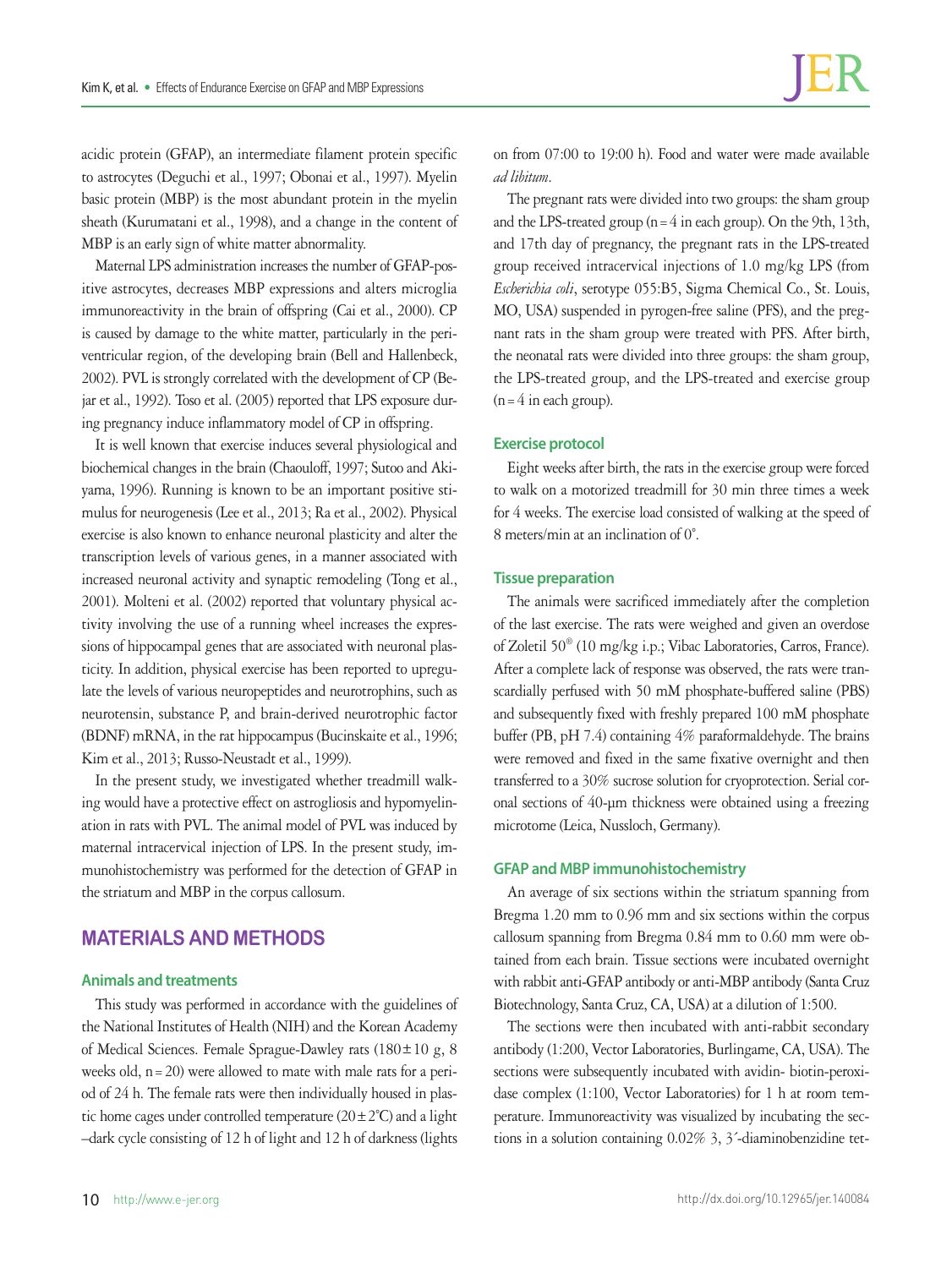acidic protein (GFAP), an intermediate filament protein specific to astrocytes (Deguchi et al., 1997; Obonai et al., 1997). Myelin basic protein (MBP) is the most abundant protein in the myelin sheath (Kurumatani et al., 1998), and a change in the content of MBP is an early sign of white matter abnormality.

Maternal LPS administration increases the number of GFAP-positive astrocytes, decreases MBP expressions and alters microglia immunoreactivity in the brain of offspring (Cai et al., 2000). CP is caused by damage to the white matter, particularly in the periventricular region, of the developing brain (Bell and Hallenbeck, 2002). PVL is strongly correlated with the development of CP (Bejar et al., 1992). Toso et al. (2005) reported that LPS exposure during pregnancy induce inflammatory model of CP in offspring.

It is well known that exercise induces several physiological and biochemical changes in the brain (Chaouloff, 1997; Sutoo and Akiyama, 1996). Running is known to be an important positive stimulus for neurogenesis (Lee et al., 2013; Ra et al., 2002). Physical exercise is also known to enhance neuronal plasticity and alter the transcription levels of various genes, in a manner associated with increased neuronal activity and synaptic remodeling (Tong et al., 2001). Molteni et al. (2002) reported that voluntary physical activity involving the use of a running wheel increases the expressions of hippocampal genes that are associated with neuronal plasticity. In addition, physical exercise has been reported to upregulate the levels of various neuropeptides and neurotrophins, such as neurotensin, substance P, and brain-derived neurotrophic factor (BDNF) mRNA, in the rat hippocampus (Bucinskaite et al., 1996; Kim et al., 2013; Russo-Neustadt et al., 1999).

In the present study, we investigated whether treadmill walking would have a protective effect on astrogliosis and hypomyelination in rats with PVL. The animal model of PVL was induced by maternal intracervical injection of LPS. In the present study, immunohistochemistry was performed for the detection of GFAP in the striatum and MBP in the corpus callosum.

## **MATERIALS AND METHODS**

#### **Animals and treatments**

This study was performed in accordance with the guidelines of the National Institutes of Health (NIH) and the Korean Academy of Medical Sciences. Female Sprague-Dawley rats (180±10 g, 8 weeks old,  $n=20$ ) were allowed to mate with male rats for a period of 24 h. The female rats were then individually housed in plastic home cages under controlled temperature  $(20 \pm 2^{\circ}C)$  and a light –dark cycle consisting of 12 h of light and 12 h of darkness (lights

on from 07:00 to 19:00 h). Food and water were made available *ad libitum*.

The pregnant rats were divided into two groups: the sham group and the LPS-treated group  $(n=4$  in each group). On the 9th, 13th, and 17th day of pregnancy, the pregnant rats in the LPS-treated group received intracervical injections of 1.0 mg/kg LPS (from *Escherichia coli*, serotype 055:B5, Sigma Chemical Co., St. Louis, MO, USA) suspended in pyrogen-free saline (PFS), and the pregnant rats in the sham group were treated with PFS. After birth, the neonatal rats were divided into three groups: the sham group, the LPS-treated group, and the LPS-treated and exercise group  $(n=4$  in each group).

### **Exercise protocol**

Eight weeks after birth, the rats in the exercise group were forced to walk on a motorized treadmill for 30 min three times a week for 4 weeks. The exercise load consisted of walking at the speed of 8 meters/min at an inclination of 0˚.

## **Tissue preparation**

The animals were sacrificed immediately after the completion of the last exercise. The rats were weighed and given an overdose of Zoletil 50® (10 mg/kg i.p.; Vibac Laboratories, Carros, France). After a complete lack of response was observed, the rats were transcardially perfused with 50 mM phosphate-buffered saline (PBS) and subsequently fixed with freshly prepared 100 mM phosphate buffer (PB, pH 7.4) containing 4% paraformaldehyde. The brains were removed and fixed in the same fixative overnight and then transferred to a 30% sucrose solution for cryoprotection. Serial coronal sections of 40-μm thickness were obtained using a freezing microtome (Leica, Nussloch, Germany).

#### **GFAP and MBP immunohistochemistry**

An average of six sections within the striatum spanning from Bregma 1.20 mm to 0.96 mm and six sections within the corpus callosum spanning from Bregma 0.84 mm to 0.60 mm were obtained from each brain. Tissue sections were incubated overnight with rabbit anti-GFAP antibody or anti-MBP antibody (Santa Cruz Biotechnology, Santa Cruz, CA, USA) at a dilution of 1:500.

The sections were then incubated with anti-rabbit secondary antibody (1:200, Vector Laboratories, Burlingame, CA, USA). The sections were subsequently incubated with avidin- biotin-peroxidase complex (1:100, Vector Laboratories) for 1 h at room temperature. Immunoreactivity was visualized by incubating the sections in a solution containing 0.02% 3, 3´-diaminobenzidine tet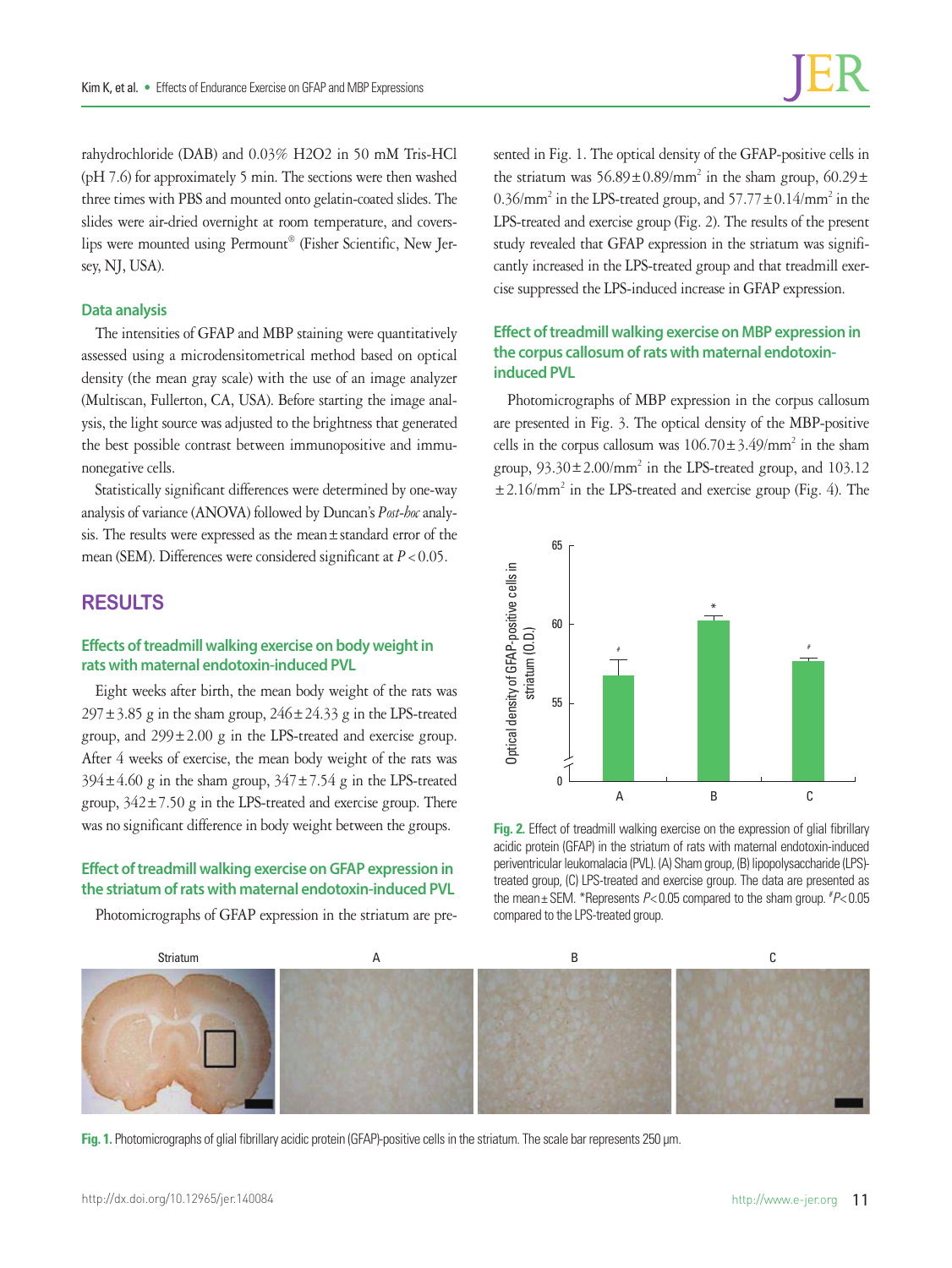rahydrochloride (DAB) and 0.03% H2O2 in 50 mM Tris-HCl (pH 7.6) for approximately 5 min. The sections were then washed three times with PBS and mounted onto gelatin-coated slides. The slides were air-dried overnight at room temperature, and coverslips were mounted using Permount® (Fisher Scientific, New Jersey, NJ, USA).

### **Data analysis**

The intensities of GFAP and MBP staining were quantitatively assessed using a microdensitometrical method based on optical density (the mean gray scale) with the use of an image analyzer (Multiscan, Fullerton, CA, USA). Before starting the image analysis, the light source was adjusted to the brightness that generated the best possible contrast between immunopositive and immunonegative cells.

Statistically significant differences were determined by one-way analysis of variance (ANOVA) followed by Duncan's *Post-hoc* analysis. The results were expressed as the mean±standard error of the mean (SEM). Differences were considered significant at  $P < 0.05$ .

# **RESULTS**

## **Effects of treadmill walking exercise on body weight in rats with maternal endotoxin-induced PVL**

Eight weeks after birth, the mean body weight of the rats was  $297 \pm 3.85$  g in the sham group,  $246 \pm 24.33$  g in the LPS-treated group, and  $299 \pm 2.00$  g in the LPS-treated and exercise group. After 4 weeks of exercise, the mean body weight of the rats was  $394 \pm 4.60$  g in the sham group,  $347 \pm 7.54$  g in the LPS-treated group,  $342 \pm 7.50$  g in the LPS-treated and exercise group. There was no significant difference in body weight between the groups.

### **Effect of treadmill walking exercise on GFAP expression in the striatum of rats with maternal endotoxin-induced PVL**

Photomicrographs of GFAP expression in the striatum are pre-

sented in Fig. 1. The optical density of the GFAP-positive cells in the striatum was  $56.89 \pm 0.89/\text{mm}^2$  in the sham group,  $60.29 \pm$ 0.36/mm<sup>2</sup> in the LPS-treated group, and  $57.77 \pm 0.14$ /mm<sup>2</sup> in the LPS-treated and exercise group (Fig. 2). The results of the present study revealed that GFAP expression in the striatum was significantly increased in the LPS-treated group and that treadmill exercise suppressed the LPS-induced increase in GFAP expression.

## **Effect of treadmill walking exercise on MBP expression in the corpus callosum of rats with maternal endotoxininduced PVL**

Photomicrographs of MBP expression in the corpus callosum are presented in Fig. 3. The optical density of the MBP-positive cells in the corpus callosum was  $106.70 \pm 3.49/\text{mm}^2$  in the sham group,  $93.30 \pm 2.00/\text{mm}^2$  in the LPS-treated group, and  $103.12$ ±2.16/mm2 in the LPS-treated and exercise group (Fig. 4). The



**Fig. 2.** Effect of treadmill walking exercise on the expression of glial fibrillary acidic protein (GFAP) in the striatum of rats with maternal endotoxin-induced periventricular leukomalacia (PVL). (A) Sham group, (B) lipopolysaccharide (LPS) treated group, (C) LPS-treated and exercise group. The data are presented as the mean± SEM. \*Represents *P*< 0.05 compared to the sham group. # *P*< 0.05 compared to the LPS-treated group.



**Fig. 1.** Photomicrographs of glial fibrillary acidic protein (GFAP)-positive cells in the striatum. The scale bar represents 250 μm.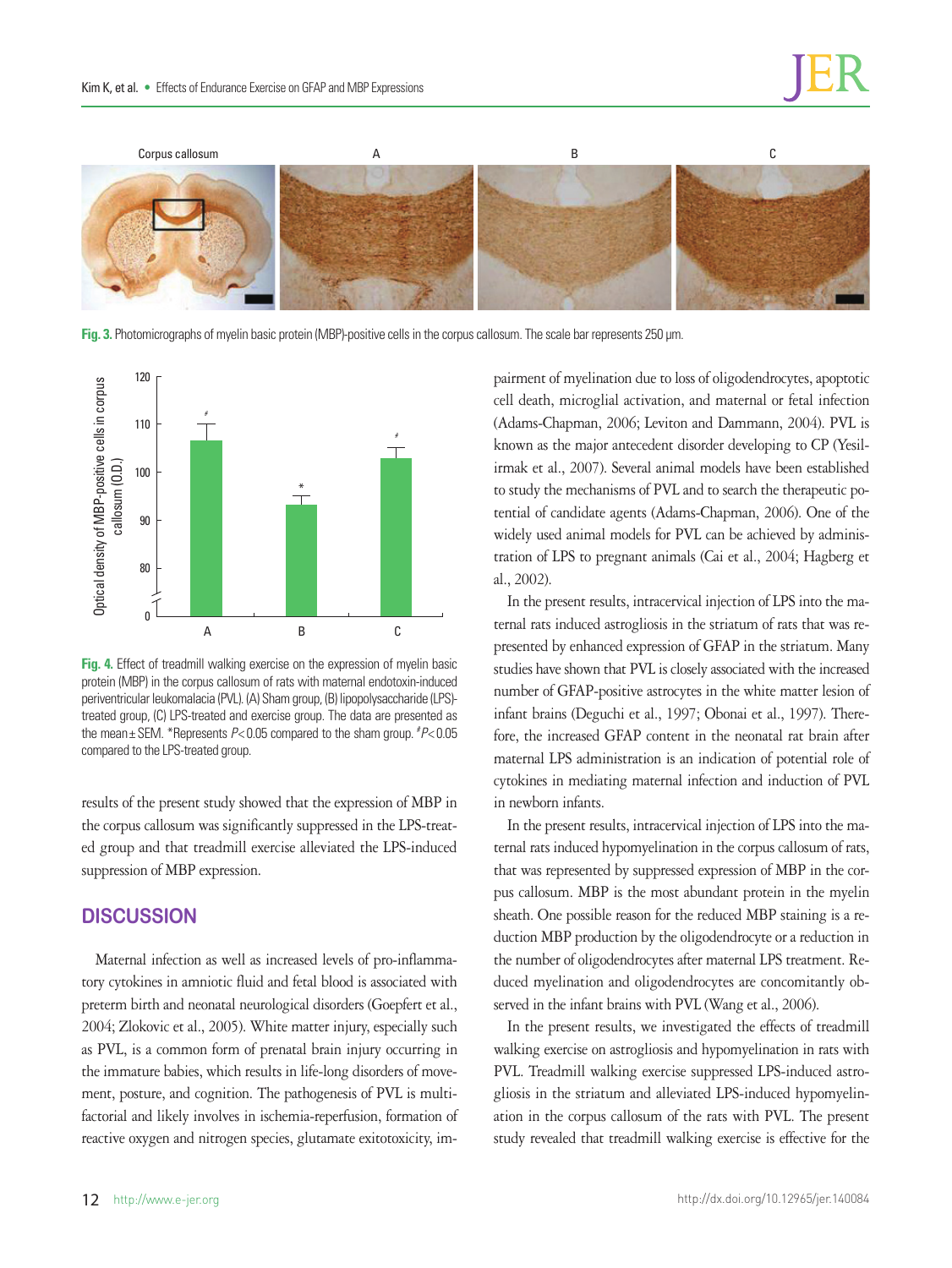

**Fig. 3.** Photomicrographs of myelin basic protein (MBP)-positive cells in the corpus callosum. The scale bar represents 250 μm.



**Fig. 4.** Effect of treadmill walking exercise on the expression of myelin basic protein (MBP) in the corpus callosum of rats with maternal endotoxin-induced periventricular leukomalacia (PVL). (A) Sham group, (B) lipopolysaccharide (LPS) treated group, (C) LPS-treated and exercise group. The data are presented as the mean± SEM. \*Represents *P*< 0.05 compared to the sham group. # *P*< 0.05 compared to the LPS-treated group.

results of the present study showed that the expression of MBP in the corpus callosum was significantly suppressed in the LPS-treated group and that treadmill exercise alleviated the LPS-induced suppression of MBP expression.

## **DISCUSSION**

Maternal infection as well as increased levels of pro-inflammatory cytokines in amniotic fluid and fetal blood is associated with preterm birth and neonatal neurological disorders (Goepfert et al., 2004; Zlokovic et al., 2005). White matter injury, especially such as PVL, is a common form of prenatal brain injury occurring in the immature babies, which results in life-long disorders of movement, posture, and cognition. The pathogenesis of PVL is multifactorial and likely involves in ischemia-reperfusion, formation of reactive oxygen and nitrogen species, glutamate exitotoxicity, impairment of myelination due to loss of oligodendrocytes, apoptotic cell death, microglial activation, and maternal or fetal infection (Adams-Chapman, 2006; Leviton and Dammann, 2004). PVL is known as the major antecedent disorder developing to CP (Yesilirmak et al., 2007). Several animal models have been established to study the mechanisms of PVL and to search the therapeutic potential of candidate agents (Adams-Chapman, 2006). One of the widely used animal models for PVL can be achieved by administration of LPS to pregnant animals (Cai et al., 2004; Hagberg et al., 2002).

In the present results, intracervical injection of LPS into the maternal rats induced astrogliosis in the striatum of rats that was represented by enhanced expression of GFAP in the striatum. Many studies have shown that PVL is closely associated with the increased number of GFAP-positive astrocytes in the white matter lesion of infant brains (Deguchi et al., 1997; Obonai et al., 1997). Therefore, the increased GFAP content in the neonatal rat brain after maternal LPS administration is an indication of potential role of cytokines in mediating maternal infection and induction of PVL in newborn infants.

In the present results, intracervical injection of LPS into the maternal rats induced hypomyelination in the corpus callosum of rats, that was represented by suppressed expression of MBP in the corpus callosum. MBP is the most abundant protein in the myelin sheath. One possible reason for the reduced MBP staining is a reduction MBP production by the oligodendrocyte or a reduction in the number of oligodendrocytes after maternal LPS treatment. Reduced myelination and oligodendrocytes are concomitantly observed in the infant brains with PVL (Wang et al., 2006).

In the present results, we investigated the effects of treadmill walking exercise on astrogliosis and hypomyelination in rats with PVL. Treadmill walking exercise suppressed LPS-induced astrogliosis in the striatum and alleviated LPS-induced hypomyelination in the corpus callosum of the rats with PVL. The present study revealed that treadmill walking exercise is effective for the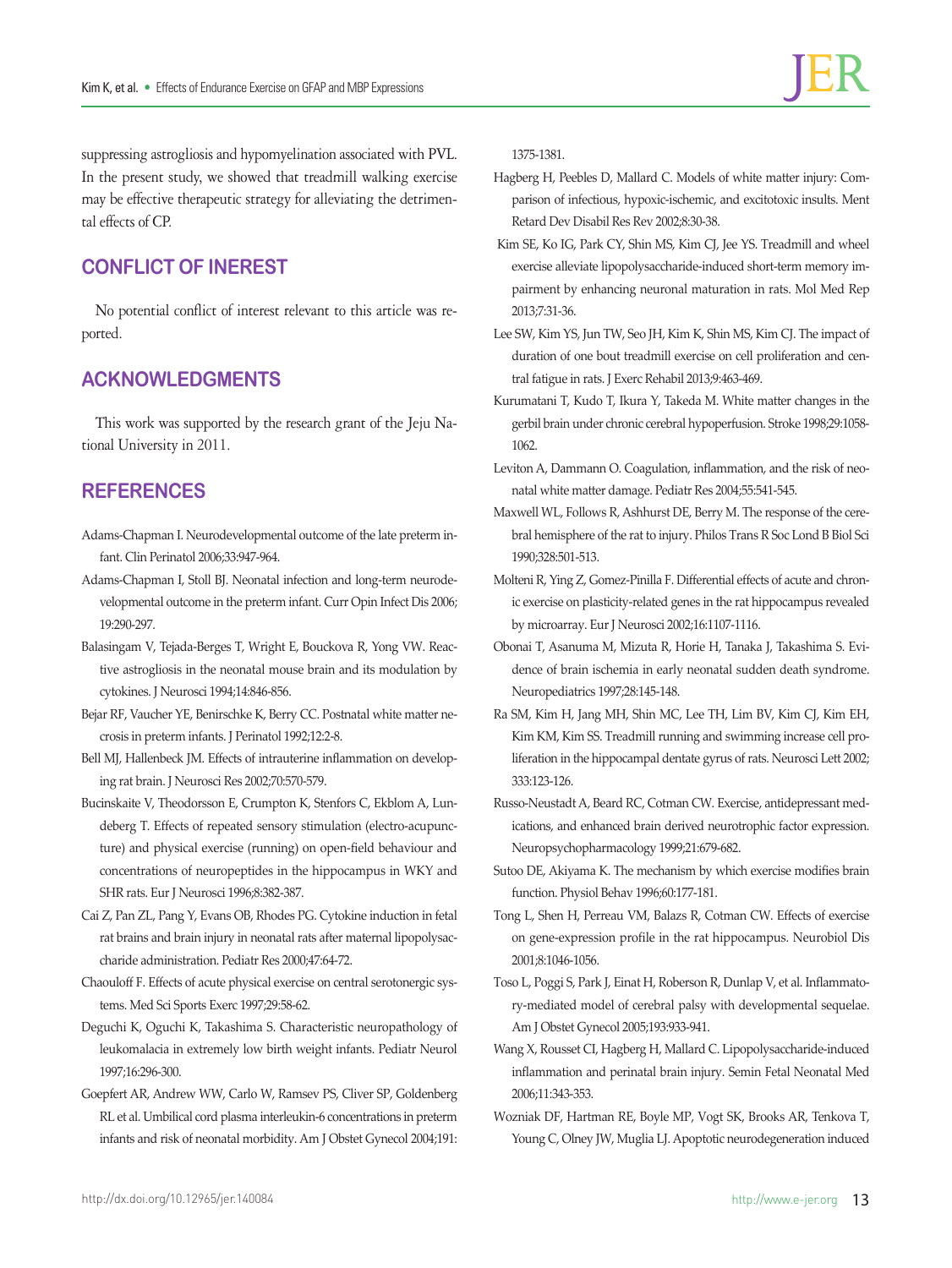suppressing astrogliosis and hypomyelination associated with PVL. In the present study, we showed that treadmill walking exercise may be effective therapeutic strategy for alleviating the detrimental effects of CP.

# **CONFLICT OF INEREST**

No potential conflict of interest relevant to this article was reported.

# **ACKNOWLEDGMENTS**

This work was supported by the research grant of the Jeju National University in 2011.

## **REFERENCES**

- Adams-Chapman I. Neurodevelopmental outcome of the late preterm infant. Clin Perinatol 2006;33:947-964.
- Adams-Chapman I, Stoll BJ. Neonatal infection and long-term neurodevelopmental outcome in the preterm infant. Curr Opin Infect Dis 2006; 19:290-297.
- Balasingam V, Tejada-Berges T, Wright E, Bouckova R, Yong VW. Reactive astrogliosis in the neonatal mouse brain and its modulation by cytokines. J Neurosci 1994;14:846-856.
- Bejar RF, Vaucher YE, Benirschke K, Berry CC. Postnatal white matter necrosis in preterm infants. J Perinatol 1992;12:2-8.
- Bell MJ, Hallenbeck JM. Effects of intrauterine inflammation on developing rat brain. J Neurosci Res 2002;70:570-579.
- Bucinskaite V, Theodorsson E, Crumpton K, Stenfors C, Ekblom A, Lundeberg T. Effects of repeated sensory stimulation (electro-acupuncture) and physical exercise (running) on open-field behaviour and concentrations of neuropeptides in the hippocampus in WKY and SHR rats. Eur J Neurosci 1996;8:382-387.
- Cai Z, Pan ZL, Pang Y, Evans OB, Rhodes PG. Cytokine induction in fetal rat brains and brain injury in neonatal rats after maternal lipopolysaccharide administration. Pediatr Res 2000;47:64-72.
- Chaouloff F. Effects of acute physical exercise on central serotonergic systems. Med Sci Sports Exerc 1997;29:58-62.
- Deguchi K, Oguchi K, Takashima S. Characteristic neuropathology of leukomalacia in extremely low birth weight infants. Pediatr Neurol 1997;16:296-300.
- Goepfert AR, Andrew WW, Carlo W, Ramsev PS, Cliver SP, Goldenberg RL et al. Umbilical cord plasma interleukin-6 concentrations in preterm infants and risk of neonatal morbidity. Am J Obstet Gynecol 2004;191:

1375-1381.

- Hagberg H, Peebles D, Mallard C. Models of white matter injury: Comparison of infectious, hypoxic-ischemic, and excitotoxic insults. Ment Retard Dev Disabil Res Rev 2002;8:30-38.
- Kim SE, Ko IG, Park CY, Shin MS, Kim CJ, Jee YS. Treadmill and wheel exercise alleviate lipopolysaccharide-induced short-term memory impairment by enhancing neuronal maturation in rats. Mol Med Rep 2013;7:31-36.
- Lee SW, Kim YS, Jun TW, Seo JH, Kim K, Shin MS, Kim CJ. The impact of duration of one bout treadmill exercise on cell proliferation and central fatigue in rats. J Exerc Rehabil 2013;9:463-469.
- Kurumatani T, Kudo T, Ikura Y, Takeda M. White matter changes in the gerbil brain under chronic cerebral hypoperfusion. Stroke 1998;29:1058- 1062.
- Leviton A, Dammann O. Coagulation, inflammation, and the risk of neonatal white matter damage. Pediatr Res 2004;55:541-545.
- Maxwell WL, Follows R, Ashhurst DE, Berry M. The response of the cerebral hemisphere of the rat to injury. Philos Trans R Soc Lond B Biol Sci 1990;328:501-513.
- Molteni R, Ying Z, Gomez-Pinilla F. Differential effects of acute and chronic exercise on plasticity-related genes in the rat hippocampus revealed by microarray. Eur J Neurosci 2002;16:1107-1116.
- Obonai T, Asanuma M, Mizuta R, Horie H, Tanaka J, Takashima S. Evidence of brain ischemia in early neonatal sudden death syndrome. Neuropediatrics 1997;28:145-148.
- Ra SM, Kim H, Jang MH, Shin MC, Lee TH, Lim BV, Kim CJ, Kim EH, Kim KM, Kim SS. Treadmill running and swimming increase cell proliferation in the hippocampal dentate gyrus of rats. Neurosci Lett 2002; 333:123-126.
- Russo-Neustadt A, Beard RC, Cotman CW. Exercise, antidepressant medications, and enhanced brain derived neurotrophic factor expression. Neuropsychopharmacology 1999;21:679-682.
- Sutoo DE, Akiyama K. The mechanism by which exercise modifies brain function. Physiol Behav 1996;60:177-181.
- Tong L, Shen H, Perreau VM, Balazs R, Cotman CW. Effects of exercise on gene-expression profile in the rat hippocampus. Neurobiol Dis 2001;8:1046-1056.
- Toso L, Poggi S, Park J, Einat H, Roberson R, Dunlap V, et al. Inflammatory-mediated model of cerebral palsy with developmental sequelae. Am J Obstet Gynecol 2005;193:933-941.
- Wang X, Rousset CI, Hagberg H, Mallard C. Lipopolysaccharide-induced inflammation and perinatal brain injury. Semin Fetal Neonatal Med 2006;11:343-353.
- Wozniak DF, Hartman RE, Boyle MP, Vogt SK, Brooks AR, Tenkova T, Young C, Olney JW, Muglia LJ. Apoptotic neurodegeneration induced